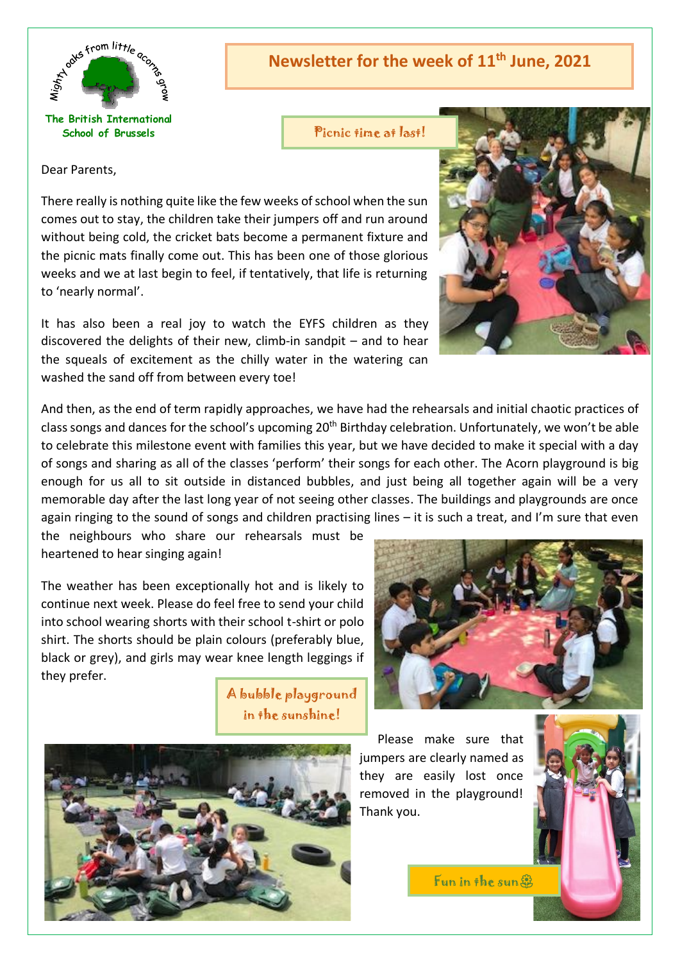

**The British International School of Brussels**

**Newsletter for the week of 11th June, 2021**

Picnic time at last!

Dear Parents,

There really is nothing quite like the few weeks of school when the sun comes out to stay, the children take their jumpers off and run around without being cold, the cricket bats become a permanent fixture and the picnic mats finally come out. This has been one of those glorious weeks and we at last begin to feel, if tentatively, that life is returning to 'nearly normal'.

It has also been a real joy to watch the EYFS children as they discovered the delights of their new, climb-in sandpit – and to hear the squeals of excitement as the chilly water in the watering can washed the sand off from between every toe!

And then, as the end of term rapidly approaches, we have had the rehearsals and initial chaotic practices of class songs and dances for the school's upcoming 20<sup>th</sup> Birthday celebration. Unfortunately, we won't be able to celebrate this milestone event with families this year, but we have decided to make it special with a day of songs and sharing as all of the classes 'perform' their songs for each other. The Acorn playground is big enough for us all to sit outside in distanced bubbles, and just being all together again will be a very memorable day after the last long year of not seeing other classes. The buildings and playgrounds are once again ringing to the sound of songs and children practising lines – it is such a treat, and I'm sure that even

the neighbours who share our rehearsals must be heartened to hear singing again!

The weather has been exceptionally hot and is likely to continue next week. Please do feel free to send your child into school wearing shorts with their school t-shirt or polo shirt. The shorts should be plain colours (preferably blue, black or grey), and girls may wear knee length leggings if they prefer.

> A bubble playground in the sunshine!



Please make sure that jumpers are clearly named as they are easily lost once removed in the playground! Thank you.

Fun in the sun



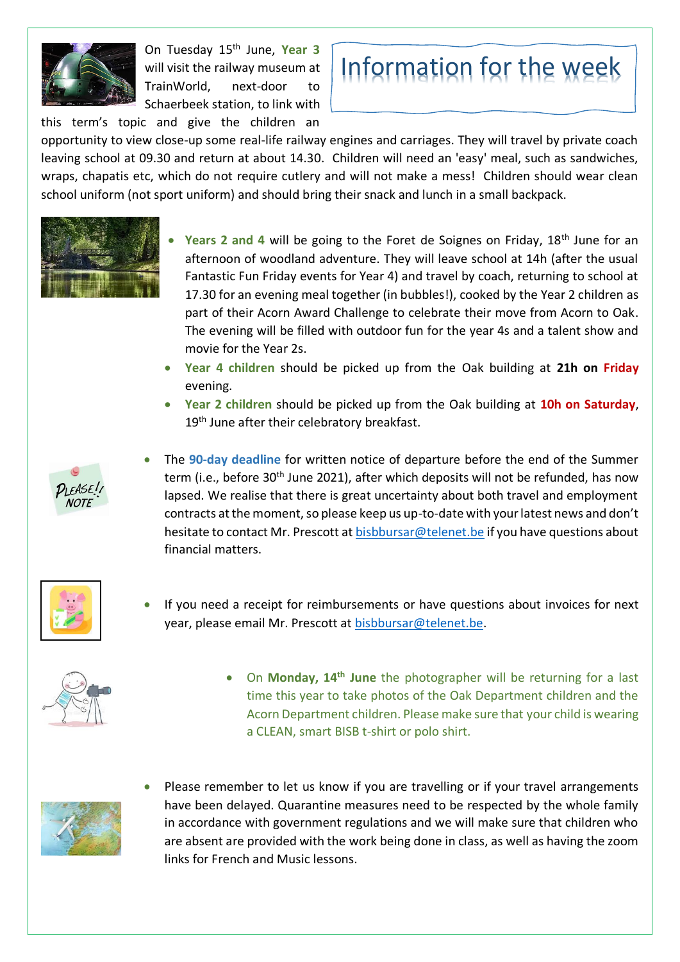

On Tuesday 15th June, **Year 3** will visit the railway museum at TrainWorld, next-door to Schaerbeek station, to link with this term's topic and give the children an



opportunity to view close-up some real-life railway engines and carriages. They will travel by private coach leaving school at 09.30 and return at about 14.30. Children will need an 'easy' meal, such as sandwiches, wraps, chapatis etc, which do not require cutlery and will not make a mess! Children should wear clean school uniform (not sport uniform) and should bring their snack and lunch in a small backpack.



- Years 2 and 4 will be going to the Foret de Soignes on Friday, 18<sup>th</sup> June for an afternoon of woodland adventure. They will leave school at 14h (after the usual Fantastic Fun Friday events for Year 4) and travel by coach, returning to school at 17.30 for an evening meal together (in bubbles!), cooked by the Year 2 children as part of their Acorn Award Challenge to celebrate their move from Acorn to Oak. The evening will be filled with outdoor fun for the year 4s and a talent show and movie for the Year 2s.
- **Year 4 children** should be picked up from the Oak building at **21h on Friday** evening.
- **Year 2 children** should be picked up from the Oak building at **10h on Saturday**, 19<sup>th</sup> June after their celebratory breakfast.



• The **90-day deadline** for written notice of departure before the end of the Summer term (i.e., before 30<sup>th</sup> June 2021), after which deposits will not be refunded, has now lapsed. We realise that there is great uncertainty about both travel and employment contracts at the moment, so please keep us up-to-date with your latest news and don't hesitate to contact Mr. Prescott at [bisbbursar@telenet.be](mailto:bisbbursar@telenet.be) if you have questions about financial matters.



If you need a receipt for reimbursements or have questions about invoices for next year, please email Mr. Prescott a[t bisbbursar@telenet.be.](mailto:bisbbursar@telenet.be)



• On **Monday, 14th June** the photographer will be returning for a last time this year to take photos of the Oak Department children and the Acorn Department children. Please make sure that your child is wearing a CLEAN, smart BISB t-shirt or polo shirt.



Please remember to let us know if you are travelling or if your travel arrangements have been delayed. Quarantine measures need to be respected by the whole family in accordance with government regulations and we will make sure that children who are absent are provided with the work being done in class, as well as having the zoom links for French and Music lessons.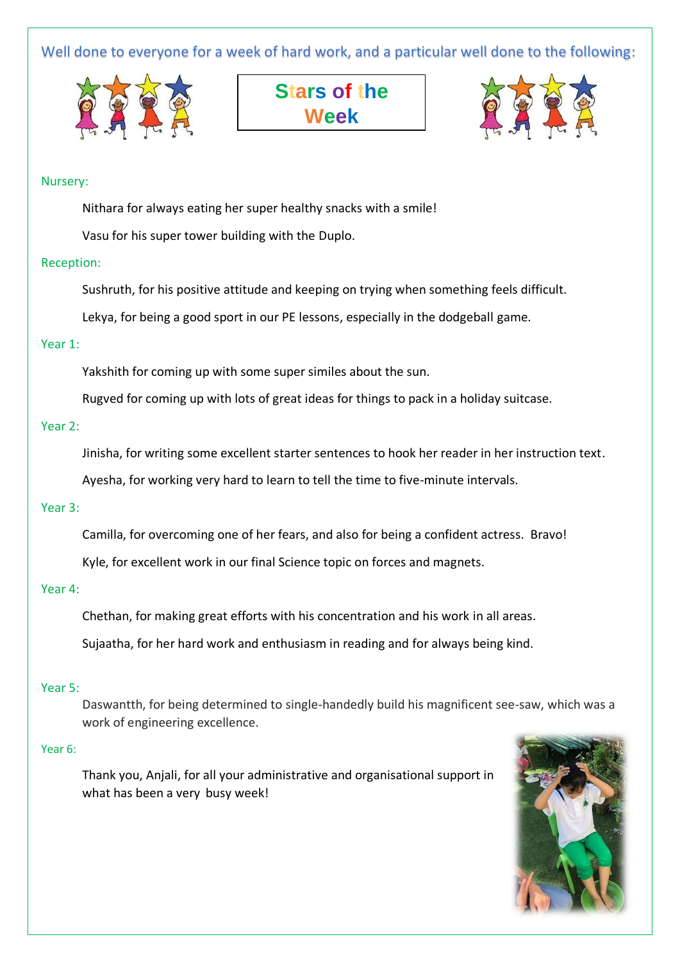Well done to everyone for a week of hard work, and a particular well done to the following:







## Nursery:

Nithara for always eating her super healthy snacks with a smile!

Vasu for his super tower building with the Duplo.

# Reception:

Sushruth, for his positive attitude and keeping on trying when something feels difficult.

Lekya, for being a good sport in our PE lessons, especially in the dodgeball game.

# Year 1:

Yakshith for coming up with some super similes about the sun.

Rugved for coming up with lots of great ideas for things to pack in a holiday suitcase.

## Year 2:

Jinisha, for writing some excellent starter sentences to hook her reader in her instruction text.

Ayesha, for working very hard to learn to tell the time to five-minute intervals.

#### Year 3:

Camilla, for overcoming one of her fears, and also for being a confident actress. Bravo!

Kyle, for excellent work in our final Science topic on forces and magnets.

#### Year 4:

Chethan, for making great efforts with his concentration and his work in all areas.

Sujaatha, for her hard work and enthusiasm in reading and for always being kind.

# Year 5:

Daswantth, for being determined to single-handedly build his magnificent see-saw, which was a work of engineering excellence.

### Year 6:

Thank you, Anjali, for all your administrative and organisational support in what has been a very busy week!